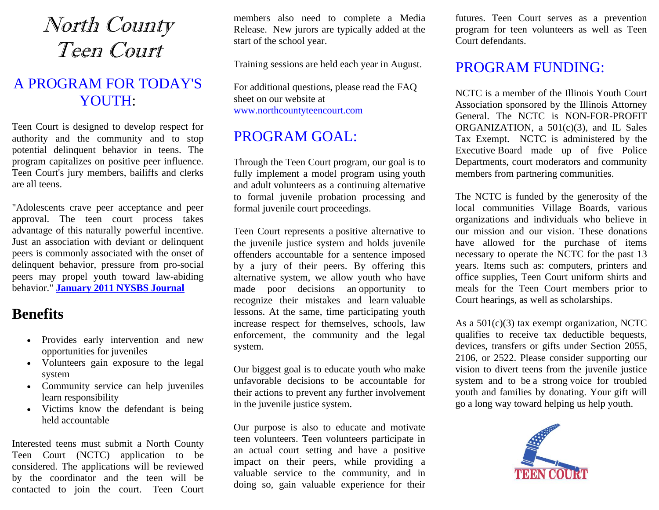# North County Teen Court

## A PROGRAM FOR TODAY'S YOUTH:

Teen Court is designed to develop respect for authority and the community and to stop potential delinquent behavior in teens. The program capitalizes on positive peer influence. Teen Court's jury members, bailiffs and clerks are all teens.

"Adolescents crave peer acceptance and peer approval. The teen court process takes advantage of this naturally powerful incentive. Just an association with deviant or delinquent peers is commonly associated with the onset of delinquent behavior, pressure from pro-social peers may propel youth toward law-abiding behavior." **[January 2011 NYSBS Journal](http://www.freewebs.com/northcountyteencourt/2011%20January%20NYSBS%20Journal%20Teen%20Courts%20-%20Do%20they%20Work%20&%20Why.pdf)**

## **Benefits**

- Provides early intervention and new opportunities for juveniles
- Volunteers gain exposure to the legal system
- Community service can help juveniles learn responsibility
- Victims know the defendant is being held accountable

Interested teens must submit a [North County](http://www.freewebs.com/northcountyteencourt/2018%20VOULUNTEER%20APPLICATION%20FORM%20For%20ALL.pdf)  [Teen Court](http://www.freewebs.com/northcountyteencourt/2018%20VOULUNTEER%20APPLICATION%20FORM%20For%20ALL.pdf) (NCTC) application to be considered. The applications will be reviewed by the coordinator and the teen will be contacted to join the court. Teen Court members also need to complete a [Media](http://www.freewebs.com/northcountyteencourt/GENERAL%20MEDIA%20RELEASE%20FORM.pdf)  [Release.](http://www.freewebs.com/northcountyteencourt/GENERAL%20MEDIA%20RELEASE%20FORM.pdf) New jurors are typically added at the start of the school year.

Training sessions are held each year in August.

For additional questions, please read the [FAQ](http://www.freewebs.com/northcountyteencourt/FAQ%202018-03-15.pdf) sheet on our website at [www.northcountyteencourt.com](http://www.northcountyteencourt.com/)

## PROGRAM GOAL:

Through the Teen Court program, our goal is to fully implement a model program using youth and adult volunteers as a continuing alternative to formal juvenile probation processing and formal juvenile court proceedings.

Teen Court represents a positive alternative to the juvenile justice system and holds juvenile offenders accountable for a sentence imposed by a jury of their peers. By offering this alternative system, we allow youth who have made poor decisions an opportunity to recognize their mistakes and learn valuable lessons. At the same, time participating youth increase respect for themselves, schools, law enforcement, the community and the legal system.

Our biggest goal is to educate youth who make unfavorable decisions to be accountable for their actions to prevent any further involvement in the juvenile justice system.

Our purpose is also to educate and motivate teen volunteers. Teen volunteers participate in an actual court setting and have a positive impact on their peers, while providing a valuable service to the community, and in doing so, gain valuable experience for their

futures. Teen Court serves as a prevention program for teen volunteers as well as Teen Court defendants.

## PROGRAM FUNDING:

NCTC is a member of the Illinois Youth Court Association sponsored by the [Illinois Attorney](http://www.ag.state.il.us/communities/youthadvocacy/iyca.html)  [General.](http://www.ag.state.il.us/communities/youthadvocacy/iyca.html) The NCTC is [NON-FOR-PROFIT](https://www.ilsos.gov/corporatellc/CorporateLlcController)  [ORGANIZATION,](https://www.ilsos.gov/corporatellc/CorporateLlcController) a  $501(c)(3)$ , and IL Sales [Tax Exempt.](https://www.northcountyteencourt.com/2017-2022%20IL%20Sales%20Tax%20Exemption%20Letter%20&%20Certificate.pdf) NCTC is administered by the [Executive](https://www.northcountyteencourt.com/executiveboard.htm) Board made up of five Police Departments, court moderators and community members from partnering communities.

The NCTC is funded by the generosity of the local communities Village Boards, [various](https://www.northcountyteencourt.com/Donor%20List.pdf)  [organizations and individuals](https://www.northcountyteencourt.com/Donor%20List.pdf) who believe in our mission and our vision. These [donations](https://www.northcountyteencourt.com/2018-03%20Donation%20Request.pdf) have allowed for the purchase of items necessary to operate the NCTC for the past 13 years. Items such as: computers, printers and office supplies, Teen Court uniform shirts and [meals](https://www.northcountyteencourt.com/2018-03%20Meal%20Donation%20Request.pdf) for the Teen Court members prior to Court hearings, as well as scholarships.

As a  $501(c)(3)$  tax exempt organization, NCTC qualifies to receive tax deductible bequests, devices, transfers or gifts under Section 2055, 2106, or 2522. Please consider supporting our vision to divert teens from the juvenile justice system and to be a strong voice for troubled youth and families by donating. Your gift will go a long way toward helping us help youth.